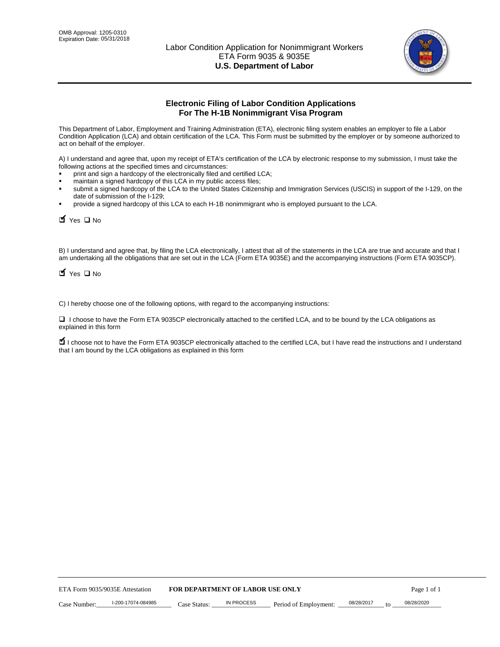

# **Electronic Filing of Labor Condition Applications For The H-1B Nonimmigrant Visa Program**

This Department of Labor, Employment and Training Administration (ETA), electronic filing system enables an employer to file a Labor Condition Application (LCA) and obtain certification of the LCA. This Form must be submitted by the employer or by someone authorized to act on behalf of the employer.

A) I understand and agree that, upon my receipt of ETA's certification of the LCA by electronic response to my submission, I must take the following actions at the specified times and circumstances:

- print and sign a hardcopy of the electronically filed and certified LCA;
- maintain a signed hardcopy of this LCA in my public access files;
- submit a signed hardcopy of the LCA to the United States Citizenship and Immigration Services (USCIS) in support of the I-129, on the date of submission of the I-129;
- provide a signed hardcopy of this LCA to each H-1B nonimmigrant who is employed pursuant to the LCA.

| Yes O No                                                                                                                                                                                                                                                                                                               |              |                                  |                       |                  |             |
|------------------------------------------------------------------------------------------------------------------------------------------------------------------------------------------------------------------------------------------------------------------------------------------------------------------------|--------------|----------------------------------|-----------------------|------------------|-------------|
| B) I understand and agree that, by filing the LCA electronically, I attest that all of the statements in the LCA are true and accurate and th<br>am undertaking all the obligations that are set out in the LCA (Form ETA 9035E) and the accompanying instructions (Form ETA 9035CF<br>$\blacksquare$ Yes $\square$ No |              |                                  |                       |                  |             |
| C) I hereby choose one of the following options, with regard to the accompanying instructions:                                                                                                                                                                                                                         |              |                                  |                       |                  |             |
| □ I choose to have the Form ETA 9035CP electronically attached to the certified LCA, and to be bound by the LCA obligations as<br>explained in this form                                                                                                                                                               |              |                                  |                       |                  |             |
| I choose not to have the Form ETA 9035CP electronically attached to the certified LCA, but I have read the instructions and I unders<br>that I am bound by the LCA obligations as explained in this form                                                                                                               |              |                                  |                       |                  |             |
|                                                                                                                                                                                                                                                                                                                        |              |                                  |                       |                  |             |
|                                                                                                                                                                                                                                                                                                                        |              |                                  |                       |                  |             |
|                                                                                                                                                                                                                                                                                                                        |              |                                  |                       |                  |             |
|                                                                                                                                                                                                                                                                                                                        |              |                                  |                       |                  |             |
|                                                                                                                                                                                                                                                                                                                        |              |                                  |                       |                  |             |
|                                                                                                                                                                                                                                                                                                                        |              |                                  |                       |                  |             |
|                                                                                                                                                                                                                                                                                                                        |              |                                  |                       |                  |             |
|                                                                                                                                                                                                                                                                                                                        |              |                                  |                       |                  |             |
|                                                                                                                                                                                                                                                                                                                        |              |                                  |                       |                  |             |
|                                                                                                                                                                                                                                                                                                                        |              |                                  |                       |                  |             |
| ETA Form 9035/9035E Attestation                                                                                                                                                                                                                                                                                        |              | FOR DEPARTMENT OF LABOR USE ONLY |                       |                  | Page 1 of 1 |
| I-200-17074-084985<br>Case Number:                                                                                                                                                                                                                                                                                     | Case Status: | <b>IN PROCESS</b>                | Period of Employment: | 08/28/2017<br>to | 08/28/2020  |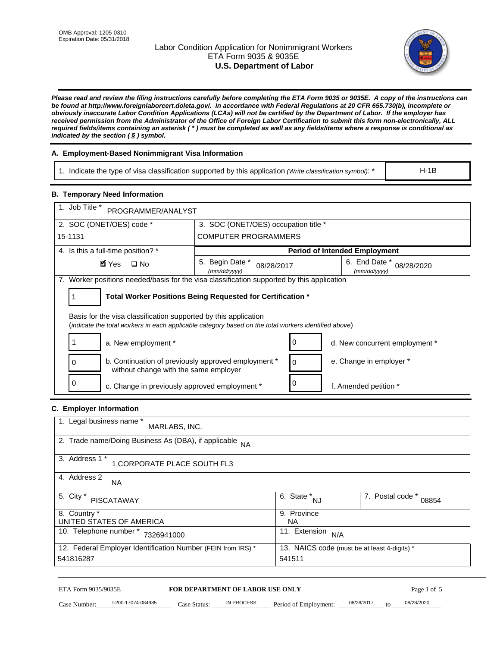# Labor Condition Application for Nonimmigrant Workers ETA Form 9035 & 9035E **U.S. Department of Labor**



*Please read and review the filing instructions carefully before completing the ETA Form 9035 or 9035E. A copy of the instructions can be found at http://www.foreignlaborcert.doleta.gov/. In accordance with Federal Regulations at 20 CFR 655.730(b), incomplete or obviously inaccurate Labor Condition Applications (LCAs) will not be certified by the Department of Labor. If the employer has received permission from the Administrator of the Office of Foreign Labor Certification to submit this form non-electronically, ALL required fields/items containing an asterisk ( \* ) must be completed as well as any fields/items where a response is conditional as indicated by the section ( § ) symbol.* 

# **A. Employment-Based Nonimmigrant Visa Information**

1. Indicate the type of visa classification supported by this application *(Write classification symbol)*: \*

### **B. Temporary Need Information**

| 1. Indicate the type of visa classification supported by this application (Write classification symbol): *                                                              |                                               |                                                 |                                      | $H-1B$                    |  |
|-------------------------------------------------------------------------------------------------------------------------------------------------------------------------|-----------------------------------------------|-------------------------------------------------|--------------------------------------|---------------------------|--|
| <b>B. Temporary Need Information</b>                                                                                                                                    |                                               |                                                 |                                      |                           |  |
| 1. Job Title *<br>PROGRAMMER/ANALYST                                                                                                                                    |                                               |                                                 |                                      |                           |  |
| 2. SOC (ONET/OES) code *<br>3. SOC (ONET/OES) occupation title *                                                                                                        |                                               |                                                 |                                      |                           |  |
| 15-1131                                                                                                                                                                 | <b>COMPUTER PROGRAMMERS</b>                   |                                                 |                                      |                           |  |
| 4. Is this a full-time position? *                                                                                                                                      |                                               |                                                 | <b>Period of Intended Employment</b> |                           |  |
| $\blacksquare$ Yes<br>$\square$ No                                                                                                                                      | 5. Begin Date *<br>08/28/2017<br>(mm/dd/yyyy) |                                                 | 6. End Date *<br>(mm/dd/yyyy)        | 08/28/2020                |  |
| 7. Worker positions needed/basis for the visa classification supported by this application                                                                              |                                               |                                                 |                                      |                           |  |
| Total Worker Positions Being Requested for Certification *<br>1                                                                                                         |                                               |                                                 |                                      |                           |  |
| Basis for the visa classification supported by this application<br>(indicate the total workers in each applicable category based on the total workers identified above) |                                               |                                                 |                                      |                           |  |
| 1<br>a. New employment *                                                                                                                                                |                                               | 0                                               | d. New concurrent employment *       |                           |  |
| b. Continuation of previously approved employment *<br>0<br>without change with the same employer                                                                       | 0                                             | e. Change in employer *                         |                                      |                           |  |
| 0<br>c. Change in previously approved employment *                                                                                                                      |                                               | 0                                               | f. Amended petition *                |                           |  |
| C. Employer Information                                                                                                                                                 |                                               |                                                 |                                      |                           |  |
| 1. Legal business name *<br>MARLABS, INC.                                                                                                                               |                                               |                                                 |                                      |                           |  |
| 2. Trade name/Doing Business As (DBA), if applicable NA                                                                                                                 |                                               |                                                 |                                      |                           |  |
| 3. Address 1 *<br>1 CORPORATE PLACE SOUTH FL3                                                                                                                           |                                               |                                                 |                                      |                           |  |
| 4. Address 2<br>NA.                                                                                                                                                     |                                               |                                                 |                                      |                           |  |
| 5. City *<br><b>PISCATAWAY</b>                                                                                                                                          |                                               | $\overline{6. \quad \text{State}}^*_{\quad NJ}$ |                                      | 7. Postal code *<br>08854 |  |
| 8. Country *<br>UNITED STATES OF AMERICA                                                                                                                                |                                               | 9. Province<br><b>NA</b>                        |                                      |                           |  |
| 10. Telephone number * 7326941000<br>11. Extension $N/A$                                                                                                                |                                               |                                                 |                                      |                           |  |
| 12. Federal Employer Identification Number (FEIN from IRS) *<br>13. NAICS code (must be at least 4-digits) *<br>541816287<br>541511                                     |                                               |                                                 |                                      |                           |  |
| ETA Form 9035/9035E                                                                                                                                                     | FOR DEPARTMENT OF LABOR USE ONLY              |                                                 |                                      | Page 1 of 5               |  |

# **C. Employer Information**

| 1. Legal business name *<br>MARLABS, INC.                    |                                              |                           |
|--------------------------------------------------------------|----------------------------------------------|---------------------------|
| 2. Trade name/Doing Business As (DBA), if applicable NA      |                                              |                           |
| 3. Address 1 *<br>1 CORPORATE PLACE SOUTH FL3                |                                              |                           |
| 4. Address 2<br><b>NA</b>                                    |                                              |                           |
| 5. City *<br><b>PISCATAWAY</b>                               | 6. State *<br><b>NJ</b>                      | 7. Postal code *<br>08854 |
| 8. Country *                                                 | 9. Province                                  |                           |
| UNITED STATES OF AMERICA                                     | NA.                                          |                           |
| 10. Telephone number *<br>7326941000                         | 11. Extension<br>N/A                         |                           |
| 12. Federal Employer Identification Number (FEIN from IRS) * | 13. NAICS code (must be at least 4-digits) * |                           |
| 541816287                                                    | 541511                                       |                           |

# ETA Form 9035/9035E **FOR DEPARTMENT OF LABOR USE ONLY** Page 1 of 5<br>Case Number: 1-200-17074-084985 Case Status: IN PROCESS Period of Employment: 08/28/2017 to 08/28/2020

Case Number: 1-200-17074-084985 Case Status: IN PROCESS Period of Employment: 08/28/2017 to 08/28/2020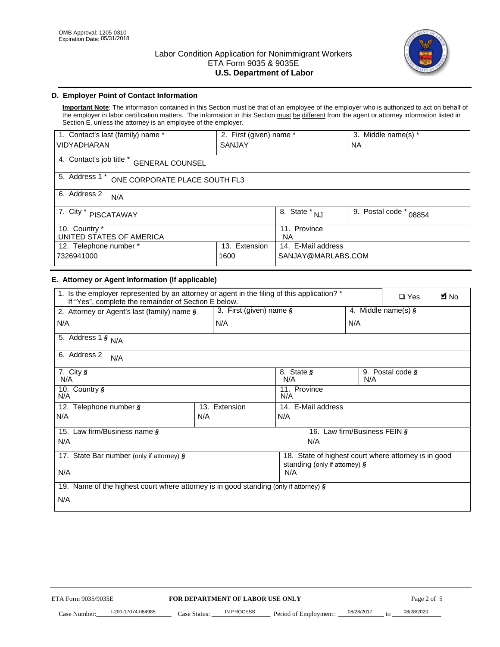

# **D. Employer Point of Contact Information**

**Important Note**: The information contained in this Section must be that of an employee of the employer who is authorized to act on behalf of the employer in labor certification matters. The information in this Section must be different from the agent or attorney information listed in Section E, unless the attorney is an employee of the employer.

| 1. Contact's last (family) name *                  | 2. First (given) name * |                                | 3. Middle name(s) *       |  |
|----------------------------------------------------|-------------------------|--------------------------------|---------------------------|--|
| <b>VIDYADHARAN</b>                                 | <b>SANJAY</b>           |                                | <b>NA</b>                 |  |
| 4. Contact's job title *<br><b>GENERAL COUNSEL</b> |                         |                                |                           |  |
| 5. Address 1 *<br>ONE CORPORATE PLACE SOUTH FL3    |                         |                                |                           |  |
| 6. Address 2<br>N/A                                |                         |                                |                           |  |
| 7. City $*$<br>PISCATAWAY                          |                         | $\overline{8}$ . State *<br>NJ | 9. Postal code *<br>08854 |  |
| 10. Country *<br>UNITED STATES OF AMERICA          |                         | 11. Province<br><b>NA</b>      |                           |  |
| Extension<br>12. Telephone number *<br>13.         |                         | 14. E-Mail address             |                           |  |
| 7326941000<br>1600                                 |                         | SANJAY@MARLABS.COM             |                           |  |

# **E. Attorney or Agent Information (If applicable)**

| VIDYADHARAN                                                                                                                                         | SANJAY                           |                                           |                                          | <b>NA</b>        |                                                      |             |
|-----------------------------------------------------------------------------------------------------------------------------------------------------|----------------------------------|-------------------------------------------|------------------------------------------|------------------|------------------------------------------------------|-------------|
| 4. Contact's job title * GENERAL COUNSEL                                                                                                            |                                  |                                           |                                          |                  |                                                      |             |
| 5. Address 1 * ONE CORPORATE PLACE SOUTH FL3                                                                                                        |                                  |                                           |                                          |                  |                                                      |             |
| 6. Address 2<br>N/A                                                                                                                                 |                                  |                                           |                                          |                  |                                                      |             |
| 7. City * PISCATAWAY                                                                                                                                |                                  | $\overline{\phantom{a}}$ 8. State $^*$ NJ |                                          | 9. Postal code * | 08854                                                |             |
| 10. Country *<br>UNITED STATES OF AMERICA                                                                                                           |                                  | 11. Province<br><b>NA</b>                 |                                          |                  |                                                      |             |
| 12. Telephone number *<br>7326941000                                                                                                                | 13. Extension<br>1600            |                                           | 14. E-Mail address<br>SANJAY@MARLABS.COM |                  |                                                      |             |
| E. Attorney or Agent Information (If applicable)                                                                                                    |                                  |                                           |                                          |                  |                                                      |             |
| 1. Is the employer represented by an attorney or agent in the filing of this application? *<br>If "Yes", complete the remainder of Section E below. |                                  |                                           |                                          |                  | $\Box$ Yes                                           | <b>M</b> No |
| 2. Attorney or Agent's last (family) name §                                                                                                         | 3. First (given) name §          |                                           |                                          |                  | 4. Middle name(s) $\sqrt{s}$                         |             |
| N/A                                                                                                                                                 | N/A                              |                                           |                                          | N/A              |                                                      |             |
| 5. Address 1 $\frac{1}{9}$ N/A                                                                                                                      |                                  |                                           |                                          |                  |                                                      |             |
| 6. Address 2<br>N/A                                                                                                                                 |                                  |                                           |                                          |                  |                                                      |             |
| 7. City §<br>N/A                                                                                                                                    |                                  | 8. State §<br>N/A                         |                                          | N/A              | 9. Postal code §                                     |             |
| 10. Country §<br>N/A                                                                                                                                |                                  | 11. Province<br>N/A                       |                                          |                  |                                                      |             |
| 12. Telephone number §                                                                                                                              | 13. Extension                    | 14. E-Mail address                        |                                          |                  |                                                      |             |
| N/A                                                                                                                                                 | N/A                              | N/A                                       |                                          |                  |                                                      |             |
| 15. Law firm/Business name §                                                                                                                        |                                  |                                           | 16. Law firm/Business FEIN §             |                  |                                                      |             |
| N/A                                                                                                                                                 |                                  |                                           | N/A                                      |                  |                                                      |             |
| 17. State Bar number (only if attorney) §                                                                                                           |                                  |                                           | standing (only if attorney) §            |                  | 18. State of highest court where attorney is in good |             |
| N/A                                                                                                                                                 |                                  | N/A                                       |                                          |                  |                                                      |             |
| 19. Name of the highest court where attorney is in good standing (only if attorney) §                                                               |                                  |                                           |                                          |                  |                                                      |             |
| N/A                                                                                                                                                 |                                  |                                           |                                          |                  |                                                      |             |
|                                                                                                                                                     |                                  |                                           |                                          |                  |                                                      |             |
|                                                                                                                                                     |                                  |                                           |                                          |                  |                                                      |             |
|                                                                                                                                                     |                                  |                                           |                                          |                  |                                                      |             |
|                                                                                                                                                     |                                  |                                           |                                          |                  |                                                      |             |
|                                                                                                                                                     |                                  |                                           |                                          |                  |                                                      |             |
|                                                                                                                                                     |                                  |                                           |                                          |                  |                                                      |             |
|                                                                                                                                                     |                                  |                                           |                                          |                  |                                                      |             |
| ETA Form 9035/9035E                                                                                                                                 | FOR DEPARTMENT OF LABOR USE ONLY |                                           |                                          |                  | Page 2 of 5                                          |             |
| I-200-17074-084985                                                                                                                                  | IN PROCESS                       |                                           |                                          | 08/28/2017       | 08/28/2020                                           |             |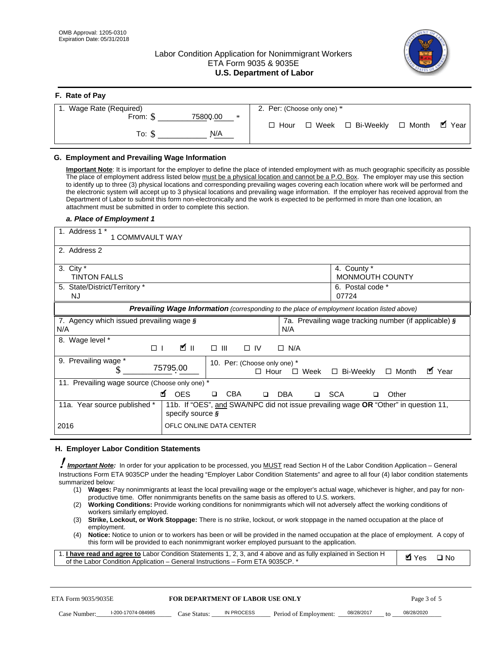**F. Rate of Pay** 

# Labor Condition Application for Nonimmigrant Workers ETA Form 9035 & 9035E **U.S. Department of Labor**



| <b>F.</b> Rate of Pay          |                                                  |
|--------------------------------|--------------------------------------------------|
| 1. Wage Rate (Required)        | 2. Per: (Choose only one) *                      |
| 75800.00<br>From: \$<br>$\ast$ |                                                  |
| N/A<br>To: \$                  | □ Week □ Bi-Weekly □ Month ■ Year<br>$\Box$ Hour |

## **G. Employment and Prevailing Wage Information**

#### *a. Place of Employment 1*

| From: \$                                                                                                                                                                                                                                                                                                                                                                                                                                                                                                                                                                                                                                                                                                                                                                                                                                                              | 75800.00<br>$\ast$<br>To: $\S$<br>N/A                                                                                                                                                                                                                                                                                                                                                                                                                                                                                                                                                                                                                                                                                                | $\Box$ Hour                                                                              | $\Box$ Week $\Box$ Bi-Weekly                                | $\blacksquare$ Year<br>$\Box$ Month |
|-----------------------------------------------------------------------------------------------------------------------------------------------------------------------------------------------------------------------------------------------------------------------------------------------------------------------------------------------------------------------------------------------------------------------------------------------------------------------------------------------------------------------------------------------------------------------------------------------------------------------------------------------------------------------------------------------------------------------------------------------------------------------------------------------------------------------------------------------------------------------|--------------------------------------------------------------------------------------------------------------------------------------------------------------------------------------------------------------------------------------------------------------------------------------------------------------------------------------------------------------------------------------------------------------------------------------------------------------------------------------------------------------------------------------------------------------------------------------------------------------------------------------------------------------------------------------------------------------------------------------|------------------------------------------------------------------------------------------|-------------------------------------------------------------|-------------------------------------|
| G. Employment and Prevailing Wage Information<br>Important Note: It is important for the employer to define the place of intended employment with as much geographic specificity as possible<br>The place of employment address listed below must be a physical location and cannot be a P.O. Box. The employer may use this section<br>to identify up to three (3) physical locations and corresponding prevailing wages covering each location where work will be performed and<br>the electronic system will accept up to 3 physical locations and prevailing wage information. If the employer has received approval from the<br>Department of Labor to submit this form non-electronically and the work is expected to be performed in more than one location, an<br>attachment must be submitted in order to complete this section.<br>a. Place of Employment 1 |                                                                                                                                                                                                                                                                                                                                                                                                                                                                                                                                                                                                                                                                                                                                      |                                                                                          |                                                             |                                     |
| 1. Address 1 *<br>1 COMMVAULT WAY<br>2. Address 2                                                                                                                                                                                                                                                                                                                                                                                                                                                                                                                                                                                                                                                                                                                                                                                                                     |                                                                                                                                                                                                                                                                                                                                                                                                                                                                                                                                                                                                                                                                                                                                      |                                                                                          |                                                             |                                     |
| 3. City $*$<br><b>TINTON FALLS</b><br>5. State/District/Territory *<br><b>NJ</b>                                                                                                                                                                                                                                                                                                                                                                                                                                                                                                                                                                                                                                                                                                                                                                                      |                                                                                                                                                                                                                                                                                                                                                                                                                                                                                                                                                                                                                                                                                                                                      |                                                                                          | 4. County *<br>MONMOUTH COUNTY<br>6. Postal code *<br>07724 |                                     |
| 7. Agency which issued prevailing wage §<br>N/A                                                                                                                                                                                                                                                                                                                                                                                                                                                                                                                                                                                                                                                                                                                                                                                                                       | Prevailing Wage Information (corresponding to the place of employment location listed above)                                                                                                                                                                                                                                                                                                                                                                                                                                                                                                                                                                                                                                         | N/A                                                                                      | 7a. Prevailing wage tracking number (if applicable) §       |                                     |
| 8. Wage level *<br>$\Box$<br>9. Prevailing wage *<br>S                                                                                                                                                                                                                                                                                                                                                                                                                                                                                                                                                                                                                                                                                                                                                                                                                | <b>M</b><br>$\Box$<br>III<br>75795.00                                                                                                                                                                                                                                                                                                                                                                                                                                                                                                                                                                                                                                                                                                | $\Box$ IV<br>$\Box$ N/A<br>10. Per: (Choose only one) *<br>$\Box$ Hour<br>$\square$ Week | □ Bi-Weekly                                                 | ■ Year<br>$\Box$ Month              |
| 11. Prevailing wage source (Choose only one) *<br>11a. Year source published *                                                                                                                                                                                                                                                                                                                                                                                                                                                                                                                                                                                                                                                                                                                                                                                        | <b>¤</b> OES<br><b>CBA</b><br>$\Box$<br>11b. If "OES", and SWA/NPC did not issue prevailing wage OR "Other" in question 11,                                                                                                                                                                                                                                                                                                                                                                                                                                                                                                                                                                                                          | □ SCA<br>DBA<br>$\Box$                                                                   | □                                                           | Other                               |
| 2016                                                                                                                                                                                                                                                                                                                                                                                                                                                                                                                                                                                                                                                                                                                                                                                                                                                                  | specify source $\boldsymbol{\S}$<br>OFLC ONLINE DATA CENTER                                                                                                                                                                                                                                                                                                                                                                                                                                                                                                                                                                                                                                                                          |                                                                                          |                                                             |                                     |
| H. Employer Labor Condition Statements<br>Important Note: In order for your application to be processed, you MUST read Section H of the Labor Condition Application - General<br>Instructions Form ETA 9035CP under the heading "Employer Labor Condition Statements" and agree to all four (4) labor condition statements<br>summarized below:<br>(1)<br>(2)<br>workers similarly employed.<br>(3)<br>employment.<br>(4)<br>1. <i>I have read and agree to</i> Labor Condition Statements 1, 2, 3, and 4 above and as fully explained in Section H<br>of the Labor Condition Application - General Instructions - Form ETA 9035CP. *                                                                                                                                                                                                                                 | Wages: Pay nonimmigrants at least the local prevailing wage or the employer's actual wage, whichever is higher, and pay for non-<br>productive time. Offer nonimmigrants benefits on the same basis as offered to U.S. workers.<br><b>Working Conditions:</b> Provide working conditions for nonimmigrants which will not adversely affect the working conditions of<br>Strike, Lockout, or Work Stoppage: There is no strike, lockout, or work stoppage in the named occupation at the place of<br>Notice: Notice to union or to workers has been or will be provided in the named occupation at the place of employment. A copy of<br>this form will be provided to each nonimmigrant worker employed pursuant to the application. |                                                                                          |                                                             | <b>Ø</b> Yes<br>$\square$ No        |
| ETA Form 9035/9035E<br>I-200-17074-084985<br>Case Number:                                                                                                                                                                                                                                                                                                                                                                                                                                                                                                                                                                                                                                                                                                                                                                                                             | <b>FOR DEPARTMENT OF LABOR USE ONLY</b><br>IN PROCESS<br>Case Status: .                                                                                                                                                                                                                                                                                                                                                                                                                                                                                                                                                                                                                                                              | Period of Employment:                                                                    | 08/28/2017                                                  | Page 3 of 5<br>08/28/2020           |

#### **H. Employer Labor Condition Statements**

- (1) **Wages:** Pay nonimmigrants at least the local prevailing wage or the employer's actual wage, whichever is higher, and pay for nonproductive time. Offer nonimmigrants benefits on the same basis as offered to U.S. workers.
- (2) **Working Conditions:** Provide working conditions for nonimmigrants which will not adversely affect the working conditions of workers similarly employed.
- (3) **Strike, Lockout, or Work Stoppage:** There is no strike, lockout, or work stoppage in the named occupation at the place of employment.
- (4) **Notice:** Notice to union or to workers has been or will be provided in the named occupation at the place of employment. A copy of this form will be provided to each nonimmigrant worker employed pursuant to the application.

| 1. I have read and agree to Labor Condition Statements 1, 2, 3, and 4 above and as fully explained in Section H | Myes ⊡No |  |
|-----------------------------------------------------------------------------------------------------------------|----------|--|
| of the Labor Condition Application – General Instructions – Form ETA 9035CP. *                                  |          |  |

| ETA Form 9035/9035E |                    | <b>FOR DEPARTMENT OF LABOR USE ONLY</b> |            |                       | Page 3 of 5 |    |            |
|---------------------|--------------------|-----------------------------------------|------------|-----------------------|-------------|----|------------|
| Case Number:        | I-200-17074-084985 | Case Status:                            | IN PROCESS | Period of Employment: | 08/28/2017  | to | 08/28/2020 |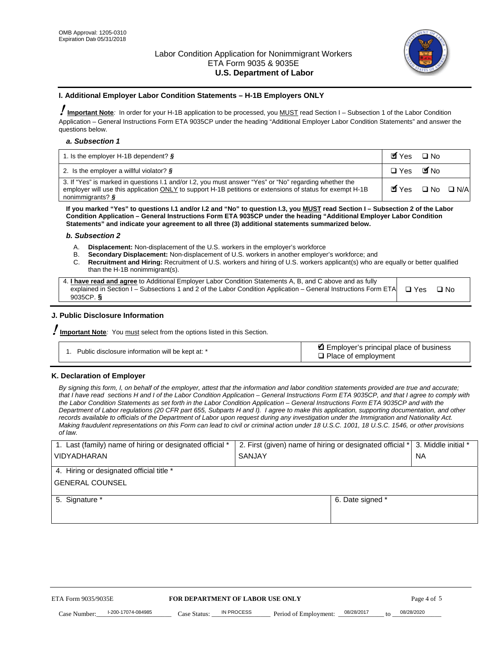

#### **I. Additional Employer Labor Condition Statements – H-1B Employers ONLY**

!**Important Note***:* In order for your H-1B application to be processed, you MUST read Section I – Subsection 1 of the Labor Condition Application – General Instructions Form ETA 9035CP under the heading "Additional Employer Labor Condition Statements" and answer the questions below.

#### *a. Subsection 1*

| 1. Is the employer H-1B dependent? $\S$                                                                                                                                                                                                 | Myes                                          | $\Box$ No              |  |
|-----------------------------------------------------------------------------------------------------------------------------------------------------------------------------------------------------------------------------------------|-----------------------------------------------|------------------------|--|
| 2. Is the employer a willful violator? $\frac{1}{2}$                                                                                                                                                                                    | $\Box$ Yes                                    | <b>M</b> <sub>No</sub> |  |
| 3. If "Yes" is marked in questions 1.1 and/or 1.2, you must answer "Yes" or "No" regarding whether the<br>employer will use this application ONLY to support H-1B petitions or extensions of status for exempt H-1B<br>nonimmigrants? § | $\blacksquare$ Yes $\square$ No $\square$ N/A |                        |  |

**If you marked "Yes" to questions I.1 and/or I.2 and "No" to question I.3, you MUST read Section I – Subsection 2 of the Labor Condition Application – General Instructions Form ETA 9035CP under the heading "Additional Employer Labor Condition Statements" and indicate your agreement to all three (3) additional statements summarized below.** 

#### *b. Subsection 2*

- A. **Displacement:** Non-displacement of the U.S. workers in the employer's workforce
- B. **Secondary Displacement:** Non-displacement of U.S. workers in another employer's workforce; and
- C. **Recruitment and Hiring:** Recruitment of U.S. workers and hiring of U.S. workers applicant(s) who are equally or better qualified than the H-1B nonimmigrant(s).

| 4. I have read and agree to Additional Employer Labor Condition Statements A, B, and C above and as fully                  |      |
|----------------------------------------------------------------------------------------------------------------------------|------|
| explained in Section I – Subsections 1 and 2 of the Labor Condition Application – General Instructions Form ETA $\Box$ Yes | ∩ N∩ |
| 9035CP. $\delta$                                                                                                           |      |

# **J. Public Disclosure Information**

!**Important Note***:* You must select from the options listed in this Section.

| Public disclosure information will be kept at: * | Employer's principal place of business<br>$\Box$ Place of employment |
|--------------------------------------------------|----------------------------------------------------------------------|
|--------------------------------------------------|----------------------------------------------------------------------|

#### **K. Declaration of Employer**

*By signing this form, I, on behalf of the employer, attest that the information and labor condition statements provided are true and accurate;*  that I have read sections H and I of the Labor Condition Application – General Instructions Form ETA 9035CP, and that I agree to comply with *the Labor Condition Statements as set forth in the Labor Condition Application – General Instructions Form ETA 9035CP and with the Department of Labor regulations (20 CFR part 655, Subparts H and I). I agree to make this application, supporting documentation, and other records available to officials of the Department of Labor upon request during any investigation under the Immigration and Nationality Act. Making fraudulent representations on this Form can lead to civil or criminal action under 18 U.S.C. 1001, 18 U.S.C. 1546, or other provisions of law.* 

| 1. Last (family) name of hiring or designated official * | 2. First (given) name of hiring or designated official * |                                 | 3. Middle initial * |
|----------------------------------------------------------|----------------------------------------------------------|---------------------------------|---------------------|
| <b>VIDYADHARAN</b>                                       | <b>SANJAY</b>                                            |                                 | <b>NA</b>           |
| 4. Hiring or designated official title *                 |                                                          |                                 |                     |
| <b>GENERAL COUNSEL</b>                                   |                                                          |                                 |                     |
| 5. Signature *                                           |                                                          | 6. Date signed *                |                     |
|                                                          |                                                          |                                 |                     |
|                                                          |                                                          |                                 |                     |
|                                                          |                                                          |                                 |                     |
|                                                          |                                                          |                                 |                     |
| FOR DEPARTMENT OF LABOR USE ONLY<br>ETA Form 9035/9035E  |                                                          |                                 | Page 4 of 5         |
| I-200-17074-084985<br>Case Number<br>Case Status:        | IN PROCESS<br>Period of Employment:                      | 08/28/2017<br>$\mathsf{t} \cap$ | 08/28/2020          |